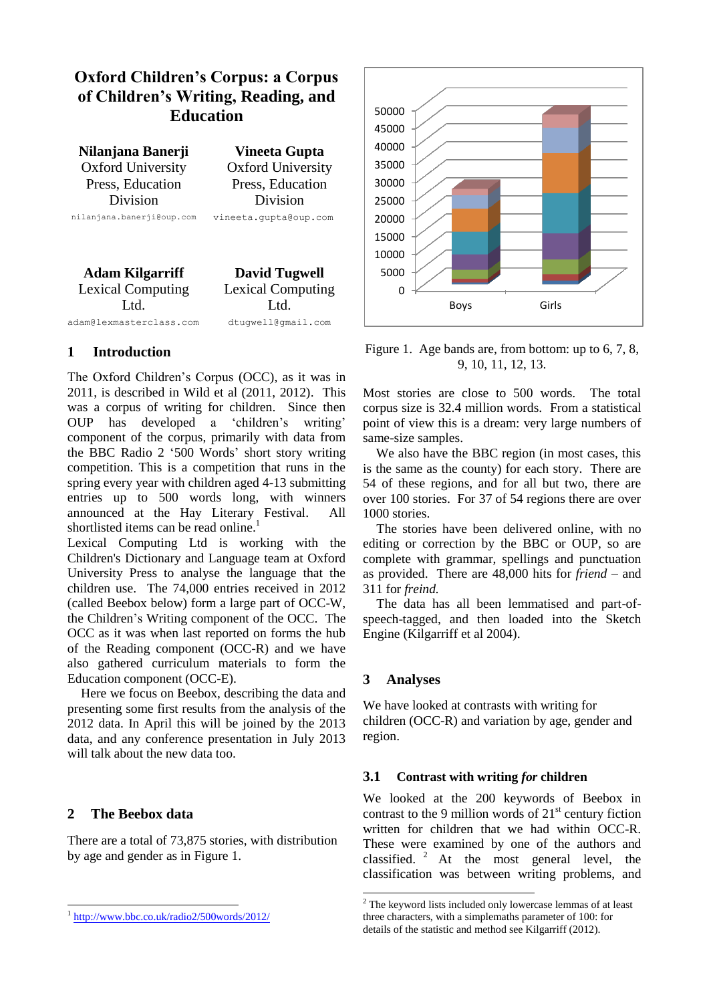# **Oxford Children's Corpus: a Corpus of Children's Writing, Reading, and Education**

**Nilanjana Banerji Vineeta Gupta** Oxford University Press, Education Division nilanjana.banerji@oup.com vineeta.gupta@oup.com

Oxford University Press, Education Division

**Adam Kilgarriff David Tugwell** Lexical Computing Ltd. adam@lexmasterclass.com dtugwell@gmail.com

Lexical Computing Ltd.

### **1 Introduction**

The Oxford Children's Corpus (OCC), as it was in 2011, is described in Wild et al (2011, 2012). This was a corpus of writing for children. Since then OUP has developed a 'children's writing' component of the corpus, primarily with data from the BBC Radio 2 '500 Words' short story writing competition. This is a competition that runs in the spring every year with children aged 4-13 submitting entries up to 500 words long, with winners announced at the Hay Literary Festival. All shortlisted items can be read online.<sup>1</sup>

Lexical Computing Ltd is working with the Children's Dictionary and Language team at Oxford University Press to analyse the language that the children use. The 74,000 entries received in 2012 (called Beebox below) form a large part of OCC-W, the Children's Writing component of the OCC. The OCC as it was when last reported on forms the hub of the Reading component (OCC-R) and we have also gathered curriculum materials to form the Education component (OCC-E).

Here we focus on Beebox, describing the data and presenting some first results from the analysis of the 2012 data. In April this will be joined by the 2013 data, and any conference presentation in July 2013 will talk about the new data too.

### **2 The Beebox data**

1

There are a total of 73,875 stories, with distribution by age and gender as in Figure 1.



Figure 1. Age bands are, from bottom: up to 6, 7, 8, 9, 10, 11, 12, 13.

Most stories are close to 500 words. The total corpus size is 32.4 million words. From a statistical point of view this is a dream: very large numbers of same-size samples.

 We also have the BBC region (in most cases, this is the same as the county) for each story. There are 54 of these regions, and for all but two, there are over 100 stories. For 37 of 54 regions there are over 1000 stories.

The stories have been delivered online, with no editing or correction by the BBC or OUP, so are complete with grammar, spellings and punctuation as provided. There are 48,000 hits for *friend* – and 311 for *freind.* 

The data has all been lemmatised and part-ofspeech-tagged, and then loaded into the Sketch Engine (Kilgarriff et al 2004).

#### **3 Analyses**

**.** 

We have looked at contrasts with writing for children (OCC-R) and variation by age, gender and region.

#### **3.1 Contrast with writing** *for* **children**

We looked at the 200 keywords of Beebox in contrast to the 9 million words of  $21<sup>st</sup>$  century fiction written for children that we had within OCC-R. These were examined by one of the authors and classified.  $2$  At the most general level, the classification was between writing problems, and

<sup>&</sup>lt;sup>1</sup> <http://www.bbc.co.uk/radio2/500words/2012/>

<sup>&</sup>lt;sup>2</sup> The keyword lists included only lowercase lemmas of at least three characters, with a simplemaths parameter of 100: for details of the statistic and method see Kilgarriff (2012).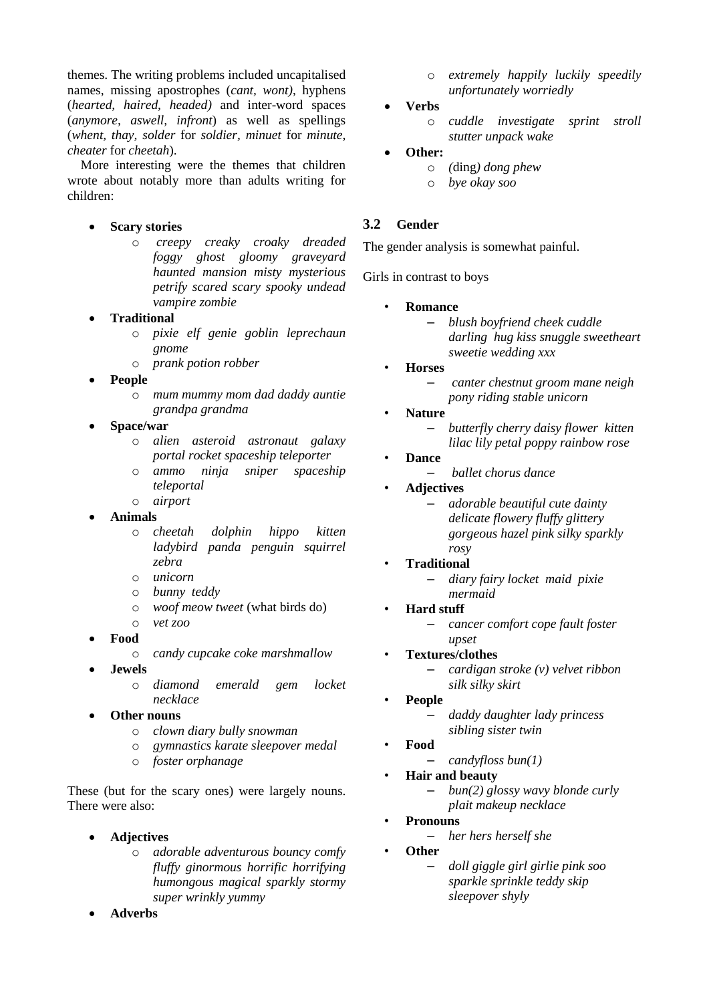themes. The writing problems included uncapitalised names, missing apostrophes (*cant, wont)*, hyphens (*hearted, haired, headed)* and inter-word spaces (*anymore, aswell, infront*) as well as spellings (*whent, thay, solder* for *soldier, minuet* for *minute, cheater* for *cheetah*).

 More interesting were the themes that children wrote about notably more than adults writing for children:

### **Scary stories**

- o *creepy creaky croaky dreaded foggy ghost gloomy graveyard haunted mansion misty mysterious petrify scared scary spooky undead vampire zombie*
- **Traditional**
	- o *pixie elf genie goblin leprechaun gnome*
	- o *prank potion robber*
- **People**
	- o *mum mummy mom dad daddy auntie grandpa grandma*
- **Space/war**
	- o *alien asteroid astronaut galaxy portal rocket spaceship teleporter*
	- o *ammo ninja sniper spaceship teleportal*
	- o *airport*
- **Animals**
	- o *cheetah dolphin hippo kitten ladybird panda penguin squirrel zebra*
	- o *unicorn*
	- o *bunny teddy*
	- o *woof meow tweet* (what birds do)
	- o *vet zoo*
- **Food**
	- o *candy cupcake coke marshmallow*
- **Jewels**
	- o *diamond emerald gem locket necklace*
- **Other nouns**
	- o *clown diary bully snowman*
	- o *gymnastics karate sleepover medal*
	- o *foster orphanage*

These (but for the scary ones) were largely nouns. There were also:

- **Adjectives**
	- o *adorable adventurous bouncy comfy fluffy ginormous horrific horrifying humongous magical sparkly stormy super wrinkly yummy*
- **Adverbs**
- o *extremely happily luckily speedily unfortunately worriedly*
- **Verbs**
	- o *cuddle investigate sprint stroll stutter unpack wake*
- **Other:**
	- o *(*ding*) dong phew*
	- o *bye okay soo*

## **3.2 Gender**

The gender analysis is somewhat painful.

Girls in contrast to boys

- **Romance**
	- *blush boyfriend cheek cuddle darling hug kiss snuggle sweetheart sweetie wedding xxx*
- **Horses**
	- *canter chestnut groom mane neigh pony riding stable unicorn*
- **Nature**
	- *butterfly cherry daisy flower kitten lilac lily petal poppy rainbow rose*
- **Dance**
	- *ballet chorus dance*
- **Adjectives**
	- *adorable beautiful cute dainty delicate flowery fluffy glittery gorgeous hazel pink silky sparkly rosy*
- **Traditional**
	- *diary fairy locket maid pixie mermaid*
- **Hard stuff**
	- *cancer comfort cope fault foster upset*
- **Textures/clothes**
	- *cardigan stroke (v) velvet ribbon silk silky skirt*
- **People**
	- *daddy daughter lady princess sibling sister twin*
- **Food**
	- *candyfloss bun(1)*
- **Hair and beauty**
	- *bun(2) glossy wavy blonde curly plait makeup necklace*
- **Pronouns**
	- *her hers herself she*
	- **Other**
		- *doll giggle girl girlie pink soo sparkle sprinkle teddy skip sleepover shyly*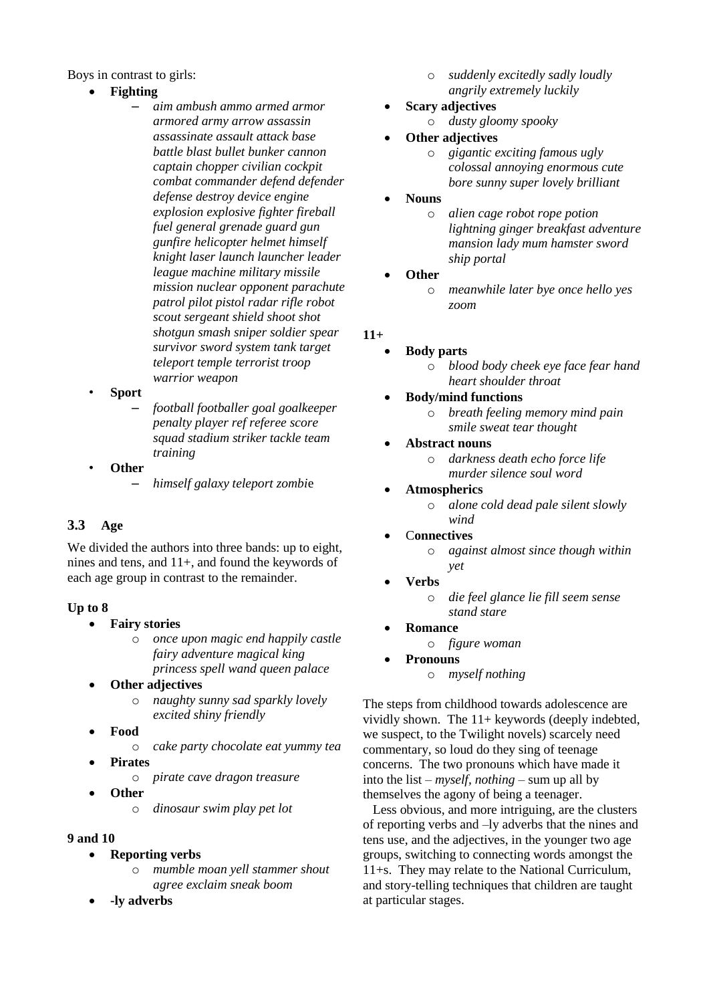Boys in contrast to girls:

- **Fighting**
	- *aim ambush ammo armed armor armored army arrow assassin assassinate assault attack base battle blast bullet bunker cannon captain chopper civilian cockpit combat commander defend defender defense destroy device engine explosion explosive fighter fireball fuel general grenade guard gun gunfire helicopter helmet himself knight laser launch launcher leader league machine military missile mission nuclear opponent parachute patrol pilot pistol radar rifle robot scout sergeant shield shoot shot shotgun smash sniper soldier spear survivor sword system tank target teleport temple terrorist troop warrior weapon*
- **Sport**
	- *football footballer goal goalkeeper penalty player ref referee score squad stadium striker tackle team training*
- **Other**
	- *himself galaxy teleport zombi*e

# **3.3 Age**

We divided the authors into three bands: up to eight, nines and tens, and 11+, and found the keywords of each age group in contrast to the remainder.

### **Up to 8**

- **Fairy stories**
	- o *once upon magic end happily castle fairy adventure magical king princess spell wand queen palace*
- **Other adjectives**
	- o *naughty sunny sad sparkly lovely excited shiny friendly*
- **Food**
	- o *cake party chocolate eat yummy tea*
- **Pirates**
	- o *pirate cave dragon treasure*
- **Other**
	- o *dinosaur swim play pet lot*
- **9 and 10**
	- **Reporting verbs**
		- o *mumble moan yell stammer shout agree exclaim sneak boom*
	- **-ly adverbs**
- o *suddenly excitedly sadly loudly angrily extremely luckily*
- **Scary adjectives** o *dusty gloomy spooky*
- **Other adjectives** 
	- o *gigantic exciting famous ugly colossal annoying enormous cute bore sunny super lovely brilliant*
- **Nouns** 
	- o *alien cage robot rope potion lightning ginger breakfast adventure mansion lady mum hamster sword ship portal*
- **Other** 
	- o *meanwhile later bye once hello yes zoom*

# **11+**

- **Body parts**
	- o *blood body cheek eye face fear hand heart shoulder throat*
	- **Body/mind functions** 
		- o *breath feeling memory mind pain smile sweat tear thought*
	- **Abstract nouns** 
		- o *darkness death echo force life murder silence soul word*
	- **Atmospherics** 
		- o *alone cold dead pale silent slowly wind*
	- C**onnectives** 
		- o *against almost since though within yet*
	- **Verbs** 
		- o *die feel glance lie fill seem sense stand stare*
- **Romance**
	- o *figure woman*

### **Pronouns**

o *myself nothing*

The steps from childhood towards adolescence are vividly shown. The  $11+$  keywords (deeply indebted, we suspect, to the Twilight novels) scarcely need commentary, so loud do they sing of teenage concerns. The two pronouns which have made it into the list – *myself, nothing –* sum up all by themselves the agony of being a teenager.

 Less obvious, and more intriguing, are the clusters of reporting verbs and –ly adverbs that the nines and tens use, and the adjectives, in the younger two age groups, switching to connecting words amongst the 11+s. They may relate to the National Curriculum, and story-telling techniques that children are taught at particular stages.